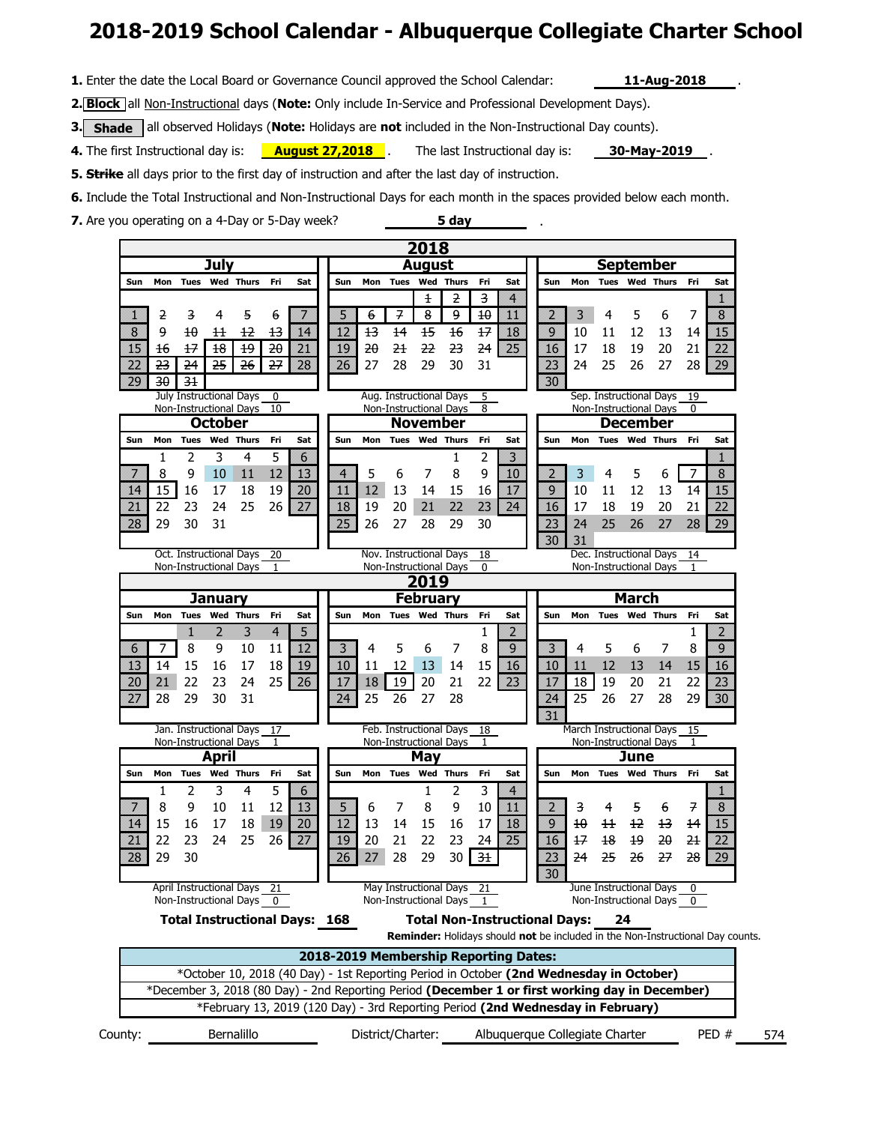# **2018-2019 School Calendar - Albuquerque Collegiate Charter School**

**5 day** 

.

**1.** Enter the date the Local Board or Governance Council approved the School Calendar: **11-Aug-2018**

.

**2. Block** all Non-Instructional days (**Note:** Only include In-Service and Professional Development Days).

**3.** Shade all observed Holidays (Note: Holidays are not included in the Non-Instructional Day counts).

**August 27,2018** A The last Instructional day is: **30-May-2019**. **4.** The first Instructional day is: **August 27,2018**.

**5. Strike** all days prior to the first day of instruction and after the last day of instruction.

**6.** Include the Total Instructional and Non-Instructional Days for each month in the spaces provided below each month.

**7.** Are you operating on a 4-Day or 5-Day week?

County: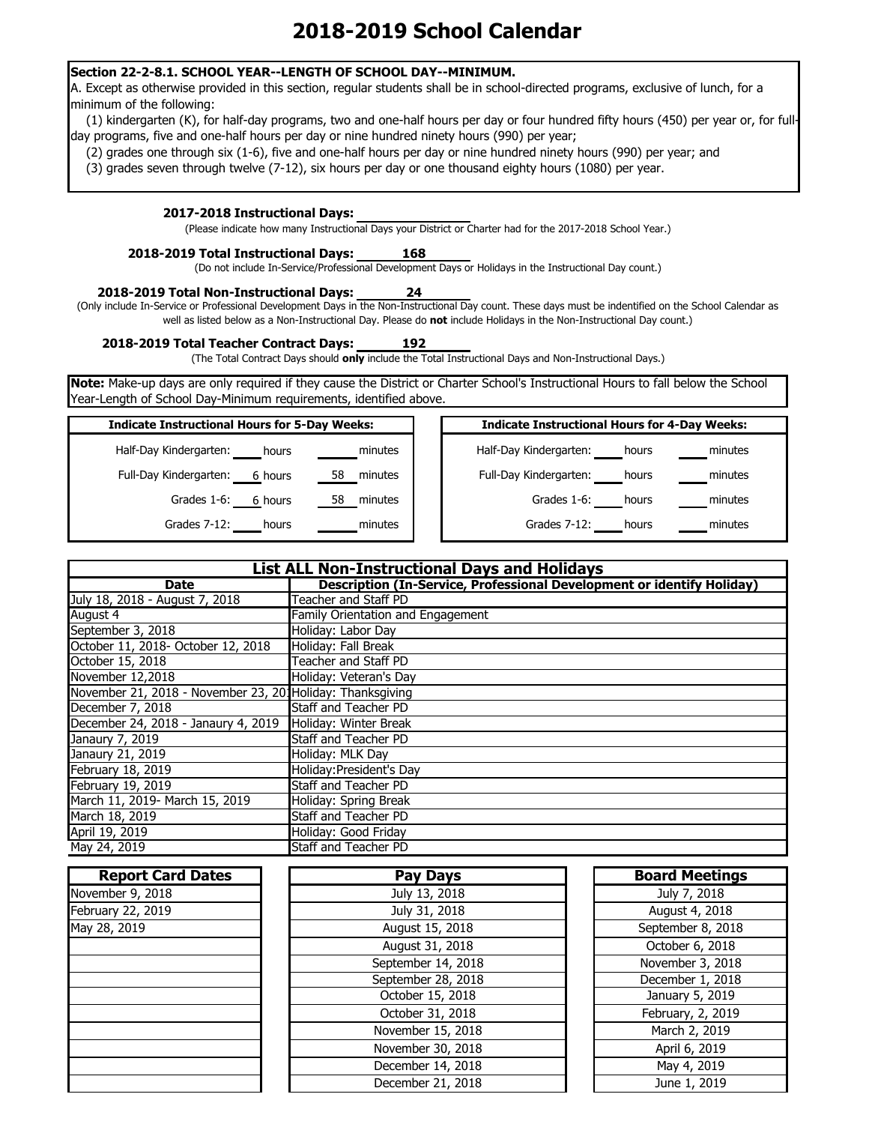### **Section 22-2-8.1. SCHOOL YEAR--LENGTH OF SCHOOL DAY--MINIMUM.**

A. Except as otherwise provided in this section, regular students shall be in school-directed programs, exclusive of lunch, for a minimum of the following:

(1) kindergarten (K), for half-day programs, two and one-half hours per day or four hundred fifty hours (450) per year or, for fullday programs, five and one-half hours per day or nine hundred ninety hours (990) per year;

(2) grades one through six (1-6), five and one-half hours per day or nine hundred ninety hours (990) per year; and

(3) grades seven through twelve (7-12), six hours per day or one thousand eighty hours (1080) per year.

### **2017-2018 Instructional Days:**

(Please indicate how many Instructional Days your District or Charter had for the 2017-2018 School Year.)

#### **2018-2019 Total Instructional Days: 168**

(Do not include In-Service/Professional Development Days or Holidays in the Instructional Day count.)

#### **2018-2019 Total Non-Instructional Days: 24**

(Only include In-Service or Professional Development Days in the Non-Instructional Day count. These days must be indentified on the School Calendar as well as listed below as a Non-Instructional Day. Please do **not** include Holidays in the Non-Instructional Day count.)

### **2018-2019 Total Teacher Contract Days: 192**

(The Total Contract Days should **only** include the Total Instructional Days and Non-Instructional Days.)

**Note:** Make-up days are only required if they cause the District or Charter School's Instructional Hours to fall below the School Year-Length of School Day-Minimum requirements, identified above.

| <b>Indicate Instructional Hours for 5-Day Weeks:</b> | <b>Indicate Instructional Hours for 4-Day Weeks:</b> |
|------------------------------------------------------|------------------------------------------------------|
| Half-Day Kindergarten:<br>minutes<br>hours           | minutes<br>Half-Day Kindergarten:<br>hours           |
| Full-Day Kindergarten:<br>6 hours<br>58<br>minutes   | minutes<br>Full-Day Kindergarten:<br>hours           |
| Grades 1-6:<br>6 hours<br>58<br>minutes              | minutes<br>Grades 1-6:<br>hours                      |
| Grades 7-12:<br>minutes<br>hours                     | Grades 7-12:<br>minutes<br>hours                     |

| <b>List ALL Non-Instructional Days and Holidays</b>       |                                                                        |  |  |
|-----------------------------------------------------------|------------------------------------------------------------------------|--|--|
| <b>Date</b>                                               | Description (In-Service, Professional Development or identify Holiday) |  |  |
| July 18, 2018 - August 7, 2018                            | <b>Teacher and Staff PD</b>                                            |  |  |
| August $\overline{4}$                                     | <b>Family Orientation and Engagement</b>                               |  |  |
| September 3, 2018                                         | Holiday: Labor Day                                                     |  |  |
| October 11, 2018- October 12, 2018                        | Holiday: Fall Break                                                    |  |  |
| October 15, 2018                                          | <b>Teacher and Staff PD</b>                                            |  |  |
| November 12,2018                                          | Holiday: Veteran's Day                                                 |  |  |
| November 21, 2018 - November 23, 201Holiday: Thanksgiving |                                                                        |  |  |
| December 7, 2018                                          | <b>Staff and Teacher PD</b>                                            |  |  |
| December 24, 2018 - Janaury 4, 2019                       | Holiday: Winter Break                                                  |  |  |
| Janaury 7, 2019                                           | <b>Staff and Teacher PD</b>                                            |  |  |
| Janaury 21, 2019                                          | Holiday: MLK Day                                                       |  |  |
| February 18, 2019                                         | Holiday: President's Day                                               |  |  |
| February 19, 2019                                         | <b>Staff and Teacher PD</b>                                            |  |  |
| March 11, 2019- March 15, 2019                            | Holiday: Spring Break                                                  |  |  |
| March 18, 2019                                            | <b>Staff and Teacher PD</b>                                            |  |  |
| April 19, 2019                                            | Holiday: Good Friday                                                   |  |  |
| May 24, 2019                                              | <b>Staff and Teacher PD</b>                                            |  |  |

| <b>Report Card Dates</b> | <b>Pay Days</b>    | <b>Board Meetings</b> |
|--------------------------|--------------------|-----------------------|
| November 9, 2018         | July 13, 2018      | July 7, 2018          |
| February 22, 2019        | July 31, 2018      | August 4, 2018        |
| May 28, 2019             | August 15, 2018    | September 8, 2018     |
|                          | August 31, 2018    | October 6, 2018       |
|                          | September 14, 2018 | November 3, 2018      |
|                          | September 28, 2018 | December 1, 2018      |
|                          | October 15, 2018   | January 5, 2019       |
|                          | October 31, 2018   | February, 2, 2019     |
|                          | November 15, 2018  | March 2, 2019         |
|                          | November 30, 2018  | April 6, 2019         |
|                          | December 14, 2018  | May 4, 2019           |
|                          | December 21, 2018  | June 1, 2019          |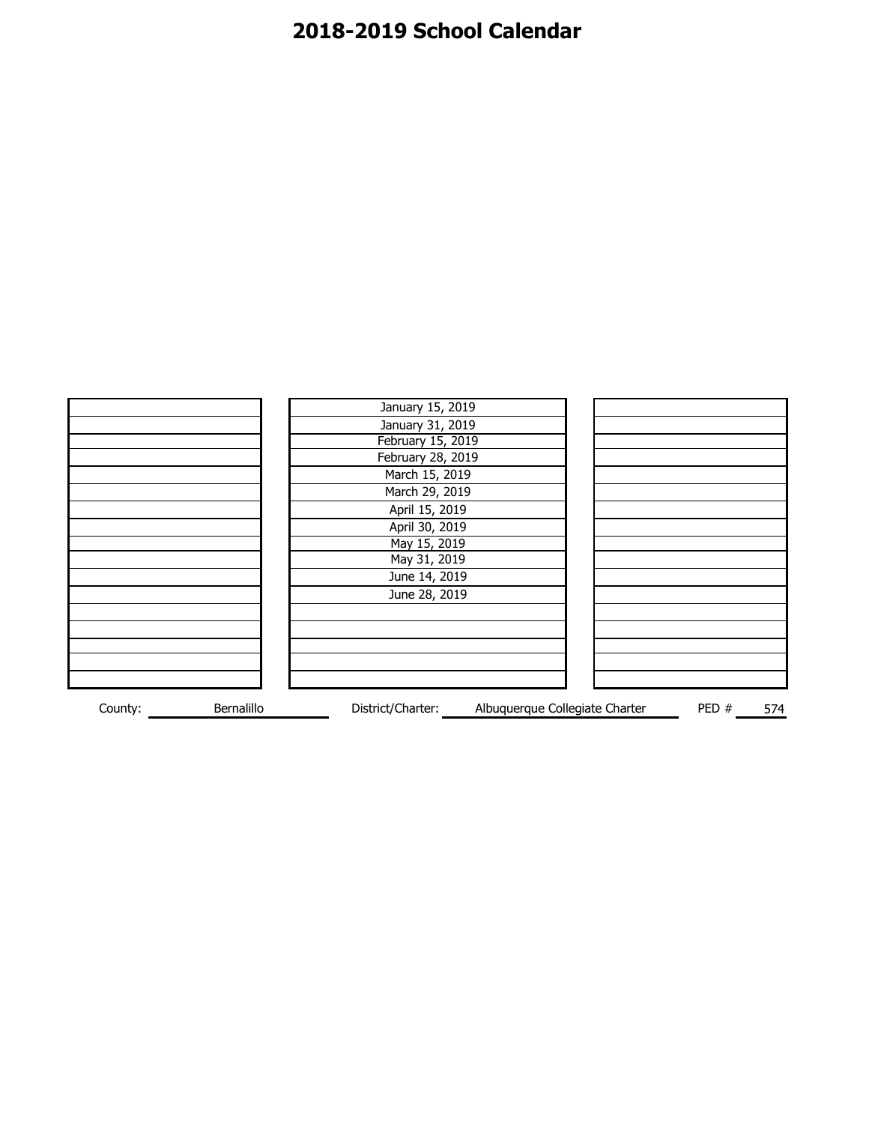|         |            | January 15, 2019  |                                |      |     |
|---------|------------|-------------------|--------------------------------|------|-----|
|         |            | January 31, 2019  |                                |      |     |
|         |            | February 15, 2019 |                                |      |     |
|         |            | February 28, 2019 |                                |      |     |
|         |            | March 15, 2019    |                                |      |     |
|         |            | March 29, 2019    |                                |      |     |
|         |            | April 15, 2019    |                                |      |     |
|         |            | April 30, 2019    |                                |      |     |
|         |            | May 15, 2019      |                                |      |     |
|         |            | May 31, 2019      |                                |      |     |
|         |            | June 14, 2019     |                                |      |     |
|         |            | June 28, 2019     |                                |      |     |
|         |            |                   |                                |      |     |
|         |            |                   |                                |      |     |
|         |            |                   |                                |      |     |
|         |            |                   |                                |      |     |
|         |            |                   |                                |      |     |
| County: | Bernalillo | District/Charter: | Albuquerque Collegiate Charter | PED# | 574 |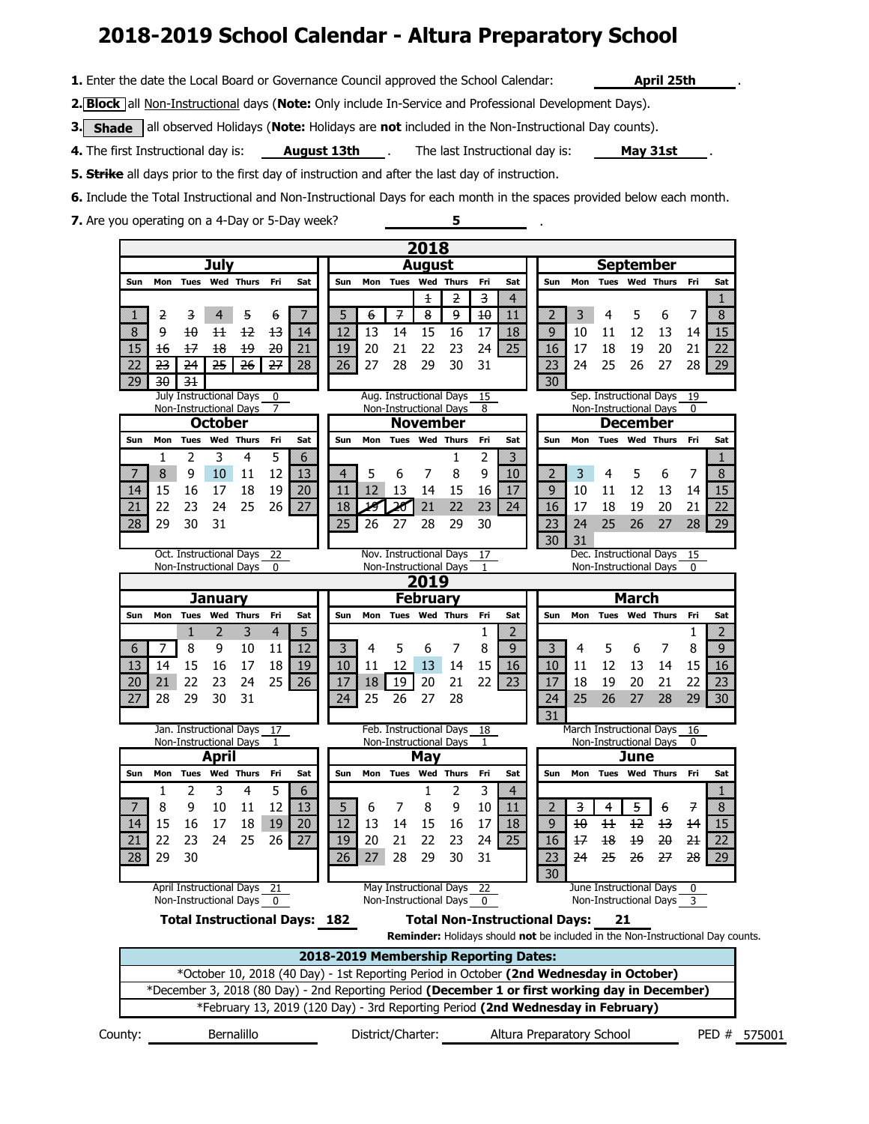# **2018-2019 School Calendar - Altura Preparatory School**

**1.** Enter the date the Local Board or Governance Council approved the School Calendar: **April 25th** 

**2. Block** all Non-Instructional days (**Note:** Only include In-Service and Professional Development Days).

**3.** Shade all observed Holidays (Note: Holidays are not included in the Non-Instructional Day counts).

August 13th \_\_\_\_. The last Instructional day is: \_\_\_\_\_ May 31st \_\_\_\_\_. **4.** The first Instructional day is: **August 13th** 

.

.

**5. Strike** all days prior to the first day of instruction and after the last day of instruction.

**6.** Include the Total Instructional and Non-Instructional Days for each month in the spaces provided below each month.

**5**

**7.** Are you operating on a 4-Day or 5-Day week?

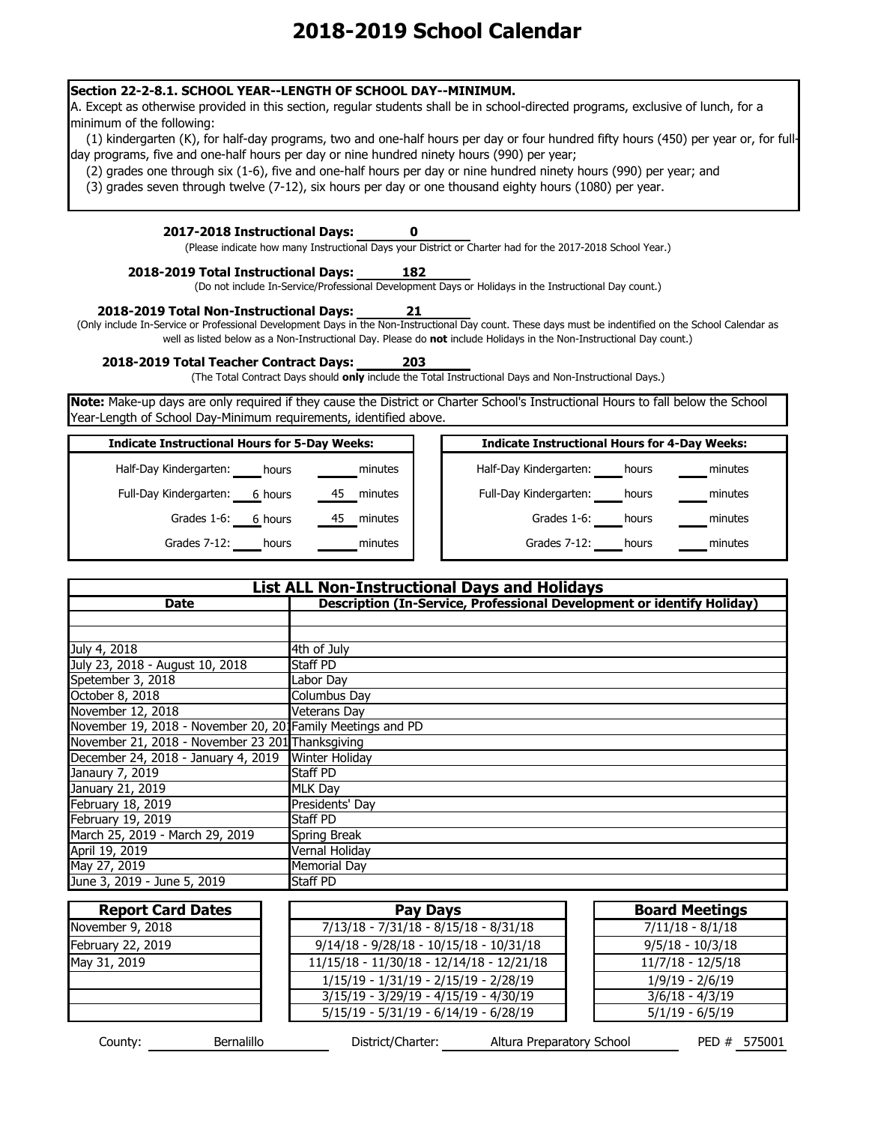### **Section 22-2-8.1. SCHOOL YEAR--LENGTH OF SCHOOL DAY--MINIMUM.**

A. Except as otherwise provided in this section, regular students shall be in school-directed programs, exclusive of lunch, for a minimum of the following:

(1) kindergarten (K), for half-day programs, two and one-half hours per day or four hundred fifty hours (450) per year or, for fullday programs, five and one-half hours per day or nine hundred ninety hours (990) per year;

(2) grades one through six (1-6), five and one-half hours per day or nine hundred ninety hours (990) per year; and

(3) grades seven through twelve (7-12), six hours per day or one thousand eighty hours (1080) per year.

### **2017-2018 Instructional Days:**

(Please indicate how many Instructional Days your District or Charter had for the 2017-2018 School Year.)

**0**

**21**

### **182 2018-2019 Total Instructional Days:**

(Do not include In-Service/Professional Development Days or Holidays in the Instructional Day count.)

#### **2018-2019 Total Non-Instructional Days:**

(Only include In-Service or Professional Development Days in the Non-Instructional Day count. These days must be indentified on the School Calendar as well as listed below as a Non-Instructional Day. Please do **not** include Holidays in the Non-Instructional Day count.)

**2018-2019 Total Teacher Contract Days: 203**

(The Total Contract Days should **only** include the Total Instructional Days and Non-Instructional Days.)

**Note:** Make-up days are only required if they cause the District or Charter School's Instructional Hours to fall below the School Year-Length of School Day-Minimum requirements, identified above.

### **Indicate Instructional Hours for 5-Day Weeks:**

| ndicate Instructional Hours for 5-Day Weeks: |         |               | <b>Indicate Instructional Hours for 4-Day Weeks:</b> |  |  |
|----------------------------------------------|---------|---------------|------------------------------------------------------|--|--|
| Half-Day Kindergarten:                       | hours   | minutes       | Half-Day Kindergarten:<br>minutes<br>hours           |  |  |
| Full-Day Kindergarten:                       | 6 hours | 45<br>minutes | Full-Day Kindergarten:<br>minutes<br>hours           |  |  |
| Grades 1-6:                                  | 6 hours | minutes<br>45 | Grades 1-6:<br>minutes<br>hours                      |  |  |
| Grades 7-12:                                 | hours   | minutes       | Grades 7-12:<br>minutes<br>hours                     |  |  |
|                                              |         |               |                                                      |  |  |

| <b>List ALL Non-Instructional Days and Holidays</b>                                   |                     |  |  |
|---------------------------------------------------------------------------------------|---------------------|--|--|
| Description (In-Service, Professional Development or identify Holiday)<br><b>Date</b> |                     |  |  |
|                                                                                       |                     |  |  |
|                                                                                       |                     |  |  |
| July 4, 2018                                                                          | 4th of July         |  |  |
| July 23, 2018 - August 10, 2018                                                       | Staff PD            |  |  |
| Spetember 3, 2018                                                                     | Labor Day           |  |  |
| October 8, 2018                                                                       | <b>Columbus Day</b> |  |  |
| November 12, 2018                                                                     | <b>Veterans Day</b> |  |  |
| November 19, 2018 - November 20, 201 Family Meetings and PD                           |                     |  |  |
| November 21, 2018 - November 23 201 Thanksgiving                                      |                     |  |  |
| December 24, 2018 - January 4, 2019 Winter Holiday                                    |                     |  |  |
| Janaury 7, 2019                                                                       | <b>Staff PD</b>     |  |  |
| January 21, 2019                                                                      | <b>MLK Day</b>      |  |  |
| February 18, 2019                                                                     | Presidents' Day     |  |  |
| February 19, 2019                                                                     | Staff PD            |  |  |
| March 25, 2019 - March 29, 2019                                                       | Spring Break        |  |  |
| April 19, 2019                                                                        | Vernal Holiday      |  |  |
| May 27, 2019                                                                          | <b>Memorial Day</b> |  |  |
| June 3, 2019 - June 5, 2019                                                           | <b>Staff PD</b>     |  |  |

| <b>Report Card Dates</b> | Pay Days                                    | <b>Board Meetings</b> |
|--------------------------|---------------------------------------------|-----------------------|
| November 9, 2018         | $7/13/18 - 7/31/18 - 8/15/18 - 8/31/18$     | $7/11/18 - 8/1/18$    |
| February 22, 2019        | $9/14/18 - 9/28/18 - 10/15/18 - 10/31/18$   | $9/5/18 - 10/3/18$    |
| May 31, 2019             | $11/15/18 - 11/30/18 - 12/14/18 - 12/21/18$ | $11/7/18 - 12/5/18$   |
|                          | $1/15/19 - 1/31/19 - 2/15/19 - 2/28/19$     | $1/9/19 - 2/6/19$     |
|                          | $3/15/19 - 3/29/19 - 4/15/19 - 4/30/19$     | $3/6/18 - 4/3/19$     |
|                          | $5/15/19 - 5/31/19 - 6/14/19 - 6/28/19$     | $5/1/19 - 6/5/19$     |

575001 District/Charter: County: Bernalillo Altura Preparatory School PED #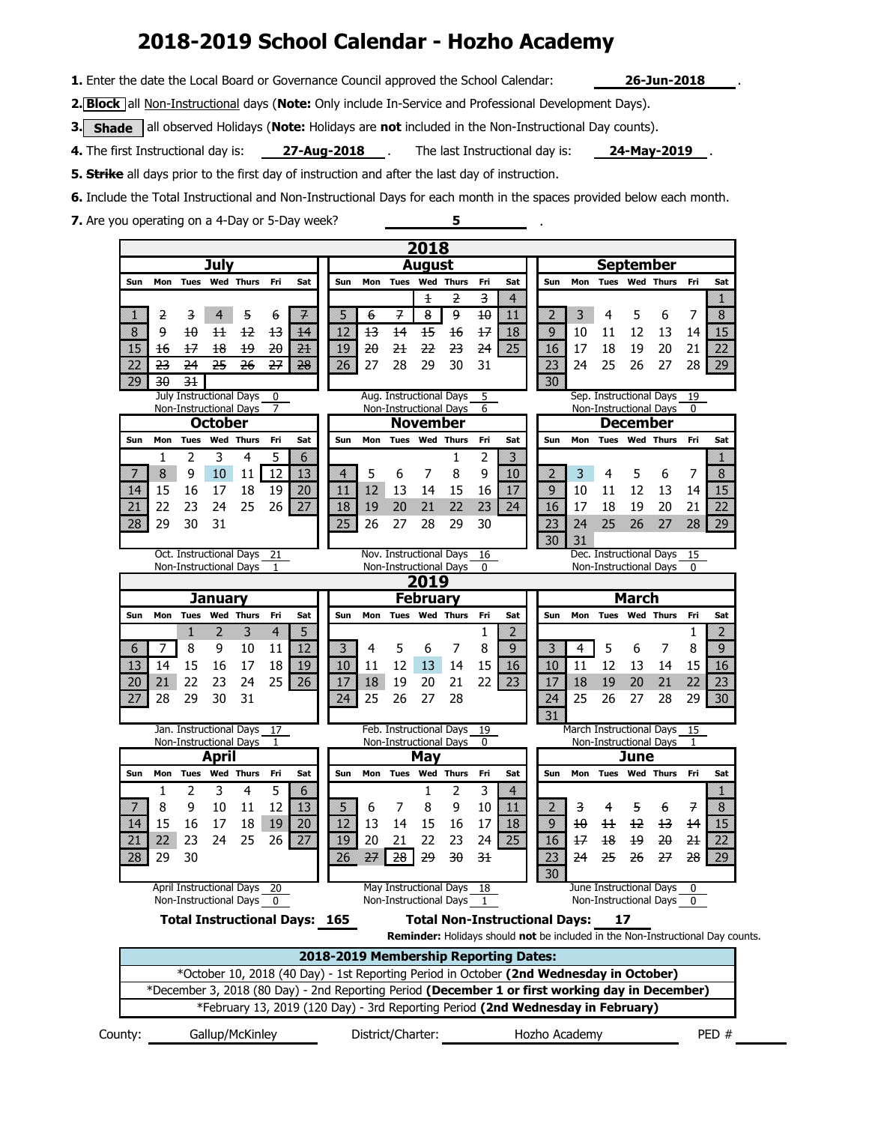# **2018-2019 School Calendar - Hozho Academy**

**1.** Enter the date the Local Board or Governance Council approved the School Calendar: **26-Jun-2018**

.

**2. Block** all Non-Instructional days (**Note:** Only include In-Service and Professional Development Days).

**3.** Shade all observed Holidays (Note: Holidays are not included in the Non-Instructional Day counts).

**27-Aug-2018** . The last Instructional day is: **24-May-2019**. **4.** The first Instructional day is: **27-Aug-2018** .

**5. Strike** all days prior to the first day of instruction and after the last day of instruction.

**6.** Include the Total Instructional and Non-Instructional Days for each month in the spaces provided below each month.

**5**

.

**7.** Are you operating on a 4-Day or 5-Day week?

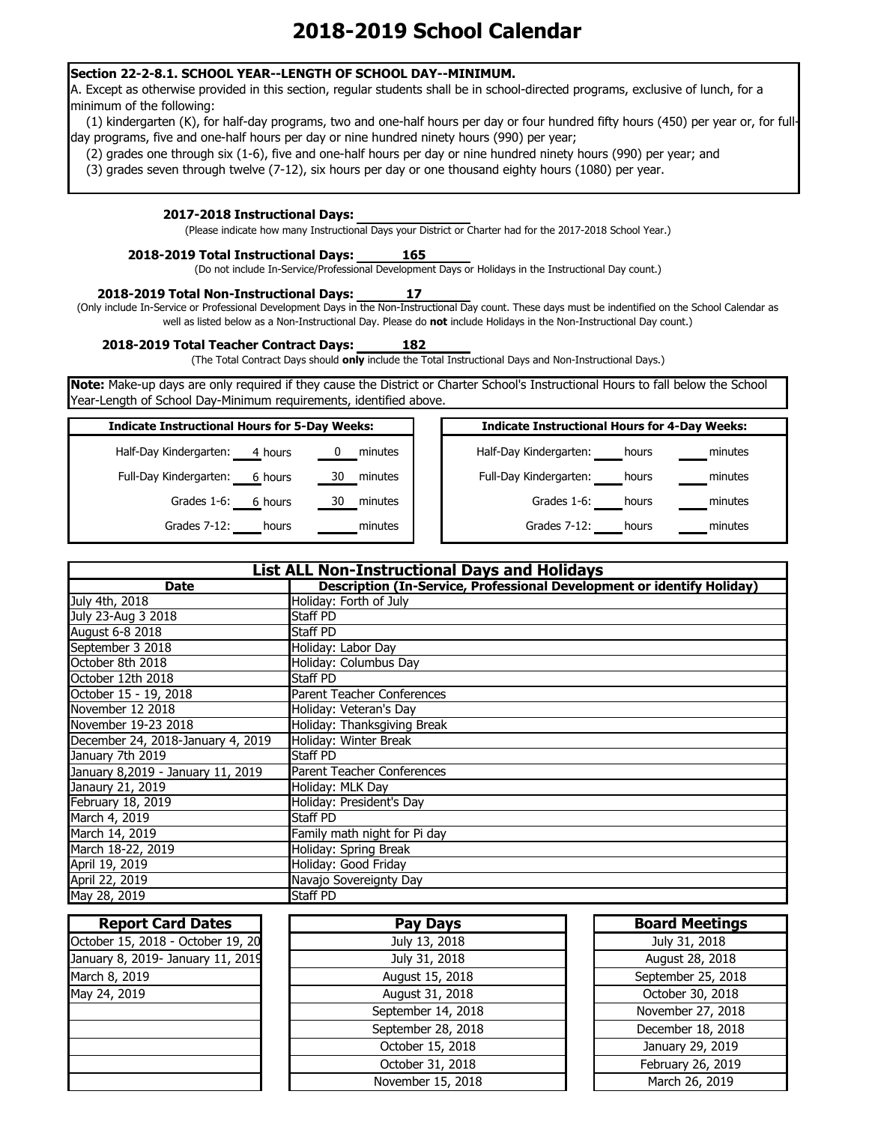### **Section 22-2-8.1. SCHOOL YEAR--LENGTH OF SCHOOL DAY--MINIMUM.**

A. Except as otherwise provided in this section, regular students shall be in school-directed programs, exclusive of lunch, for a minimum of the following:

(1) kindergarten (K), for half-day programs, two and one-half hours per day or four hundred fifty hours (450) per year or, for fullday programs, five and one-half hours per day or nine hundred ninety hours (990) per year;

(2) grades one through six (1-6), five and one-half hours per day or nine hundred ninety hours (990) per year; and

(3) grades seven through twelve (7-12), six hours per day or one thousand eighty hours (1080) per year.

### **2017-2018 Instructional Days:**

(Please indicate how many Instructional Days your District or Charter had for the 2017-2018 School Year.)

#### **165 2018-2019 Total Instructional Days:**

(Do not include In-Service/Professional Development Days or Holidays in the Instructional Day count.)

**17 2018-2019 Total Non-Instructional Days:**

(Only include In-Service or Professional Development Days in the Non-Instructional Day count. These days must be indentified on the School Calendar as well as listed below as a Non-Instructional Day. Please do **not** include Holidays in the Non-Instructional Day count.)

**2018-2019 Total Teacher Contract Days: 182**

(The Total Contract Days should **only** include the Total Instructional Days and Non-Instructional Days.)

**Note:** Make-up days are only required if they cause the District or Charter School's Instructional Hours to fall below the School Year-Length of School Day-Minimum requirements, identified above.

| <b>Indicate Instructional Hours for 5-Day Weeks:</b> |               | <b>Indicate Instructional Hours for 4-Day Weeks:</b> |
|------------------------------------------------------|---------------|------------------------------------------------------|
| Half-Day Kindergarten:<br>4 hours                    | minutes       | Half-Day Kindergarten:<br>hours                      |
| Full-Day Kindergarten:<br>6 hours                    | minutes<br>30 | Full-Day Kindergarten:<br>hours                      |
| Grades 1-6:<br>6 hours                               | minutes<br>30 | Grades 1-6:<br>hours                                 |
| Grades 7-12:<br>hours                                | minutes       | Grades 7-12:<br>hours                                |

| <b>List ALL Non-Instructional Days and Holidays</b> |                                                                        |  |
|-----------------------------------------------------|------------------------------------------------------------------------|--|
| <b>Date</b>                                         | Description (In-Service, Professional Development or identify Holiday) |  |
| July 4th, 2018                                      | Holiday: Forth of July                                                 |  |
| July 23-Aug 3 2018                                  | <b>Staff PD</b>                                                        |  |
| August 6-8 2018                                     | <b>Staff PD</b>                                                        |  |
| September 3 2018                                    | Holiday: Labor Day                                                     |  |
| October 8th 2018                                    | Holiday: Columbus Day                                                  |  |
| October 12th 2018                                   | <b>Staff PD</b>                                                        |  |
| October 15 - 19, 2018                               | <b>Parent Teacher Conferences</b>                                      |  |
| November 12 2018                                    | Holiday: Veteran's Day                                                 |  |
| November 19-23 2018                                 | Holiday: Thanksgiving Break                                            |  |
| December 24, 2018-January 4, 2019                   | Holiday: Winter Break                                                  |  |
| January 7th 2019                                    | <b>Staff PD</b>                                                        |  |
| January 8,2019 - January 11, 2019                   | Parent Teacher Conferences                                             |  |
| Janaury 21, 2019                                    | Holiday: MLK Day                                                       |  |
| February 18, 2019                                   | Holiday: President's Day                                               |  |
| March 4, 2019                                       | <b>Staff PD</b>                                                        |  |
| March 14, 2019                                      | Family math night for Pi day                                           |  |
| March 18-22, 2019                                   | Holiday: Spring Break                                                  |  |
| April 19, 2019                                      | Holiday: Good Friday                                                   |  |
| April 22, 2019                                      | Navajo Sovereignty Day                                                 |  |
| May 28, 2019                                        | <b>Staff PD</b>                                                        |  |

| <b>Report Card Dates</b>          | <b>Pay Days</b>    | <b>Board Meetings</b> |
|-----------------------------------|--------------------|-----------------------|
| October 15, 2018 - October 19, 20 | July 13, 2018      | July 31, 2018         |
| January 8, 2019- January 11, 2019 | July 31, 2018      | August 28, 2018       |
| March 8, 2019                     | August 15, 2018    | September 25, 2018    |
| May 24, 2019                      | August 31, 2018    | October 30, 2018      |
|                                   | September 14, 2018 | November 27, 2018     |
|                                   | September 28, 2018 | December 18, 2018     |
|                                   | October 15, 2018   | January 29, 2019      |
|                                   | October 31, 2018   | February 26, 2019     |
|                                   | November 15, 2018  | March 26, 2019        |